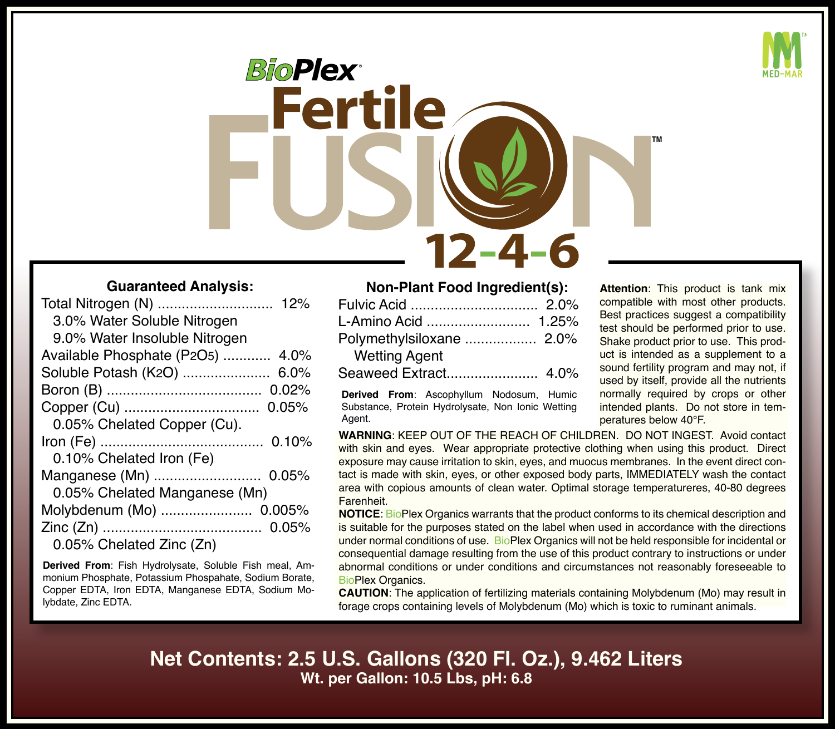

*BioPlex* Fertile **TM**  $12 - 4 - 6$ 

## **Guaranteed Analysis:**

| 3.0% Water Soluble Nitrogen        |  |
|------------------------------------|--|
| 9.0% Water Insoluble Nitrogen      |  |
| Available Phosphate (P2O5)<br>4.0% |  |
| Soluble Potash (K2O)<br>6.0%       |  |
| 0.02%                              |  |
| 0.05%                              |  |
| 0.05% Chelated Copper (Cu).        |  |
| 0.10%                              |  |
| 0.10% Chelated Iron (Fe)           |  |
| Manganese (Mn)  0.05%              |  |
| 0.05% Chelated Manganese (Mn)      |  |
| Molybdenum (Mo)  0.005%            |  |
|                                    |  |
| 0.05% Chelated Zinc (Zn)           |  |

**Derived From**: Fish Hydrolysate, Soluble Fish meal, Ammonium Phosphate, Potassium Phospahate, Sodium Borate, Copper EDTA, Iron EDTA, Manganese EDTA, Sodium Molybdate, Zinc EDTA.

## **Non-Plant Food Ingredient(s):**

| <b>Wetting Agent</b> |  |
|----------------------|--|
|                      |  |

**Derived From**: Ascophyllum Nodosum, Humic Substance, Protein Hydrolysate, Non Ionic Wetting Agent.

**Attention**: This product is tank mix compatible with most other products. Best practices suggest a compatibility test should be performed prior to use. Shake product prior to use. This product is intended as a supplement to a sound fertility program and may not, if used by itself, provide all the nutrients normally required by crops or other intended plants. Do not store in temperatures below 40°F.

**WARNING**: KEEP OUT OF THE REACH OF CHILDREN. DO NOT INGEST. Avoid contact with skin and eyes. Wear appropriate protective clothing when using this product. Direct exposure may cause irritation to skin, eyes, and muocus membranes. In the event direct contact is made with skin, eyes, or other exposed body parts, IMMEDIATELY wash the contact area with copious amounts of clean water. Optimal storage temperatureres, 40-80 degrees **Farenheit** 

**NOTICE**: BioPlex Organics warrants that the product conforms to its chemical description and is suitable for the purposes stated on the label when used in accordance with the directions under normal conditions of use. BioPlex Organics will not be held responsible for incidental or consequential damage resulting from the use of this product contrary to instructions or under abnormal conditions or under conditions and circumstances not reasonably foreseeable to BioPlex Organics.

**CAUTION**: The application of fertilizing materials containing Molybdenum (Mo) may result in forage crops containing levels of Molybdenum (Mo) which is toxic to ruminant animals.

**Net Contents: 2.5 U.S. Gallons (320 Fl. Oz.), 9.462 Liters Wt. per Gallon: 10.5 Lbs, pH: 6.8**